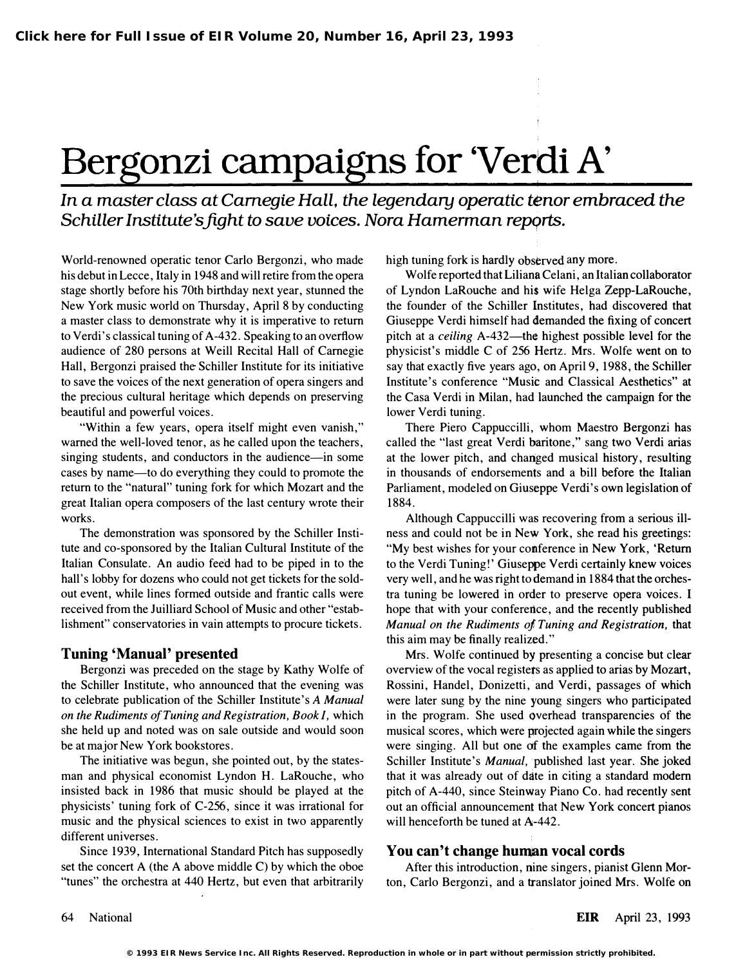# Bergonzi campaigns for 'Verdi A'

# In a master class at Camegie Hall, the legendary operatic tenor embraced the Schiller Institute's fight to save voices. Nora Hamerman reports.

World-renowned operatic tenor Carlo Bergonzi, who made his debut in Lecce, Italy in 1948 and will retire from the opera stage shortly before his 70th birthday next year, stunned the New York music world on Thursday, April 8 by conducting a master class to demonstrate why it is imperative to return to Verdi's classical tuning of A-432. Speaking to an overflow audience of 280 persons at Weill Recital Hall of Carnegie Hall, Bergonzi praised the Schiller Institute for its initiative to save the voices of the next generation of opera singers and the precious cultural heritage which depends on preserving beautiful and powerful voices.

"Within a few years, opera itself might even vanish," warned the well-loved tenor, as he called upon the teachers, singing students, and conductors in the audience—in some cases by name—to do everything they could to promote the return to the "natural" tuning fork for which Mozart and the great Italian opera composers of the last century wrote their works.

The demonstration was sponsored by the Schiller Institute and co-sponsored by the Italian Cultural Institute of the Italian Consulate. An audio feed had to be piped in to the hall's lobby for dozens who could not get tickets for the soldout event, while lines formed outside and frantic calls were received from the Juilliard School of Music and other "establishment" conservatories in vain attempts to procure tickets.

### Tuning 'Manual' presented

Bergonzi was preceded on the stage by Kathy Wolfe of the Schiller Institute, who announced that the evening was to celebrate publication of the Schiller Institute's A Manual on the Rudiments of Tuning and Registration, Book I, which she held up and noted was on sale outside and would soon be at major New York bookstores.

The initiative was begun, she pointed out, by the statesman and physical economist Lyndon H. LaRouche, who insisted back in 1986 that music should be played at the physicists' tuning fork of C-256, since it was irrational for music and the physical sciences to exist in two apparently different universes.

Since 1939, International Standard Pitch has supposedly set the concert A (the A above middle C) by which the oboe "tunes" the orchestra at 440 Hertz, but even that arbitrarily high tuning fork is hardly observed any more.

Wolfe reported that Liliana Celani, an Italian collaborator of Lyndon LaRouche and his wife Helga Zepp-LaRouche, the founder of the Schiller Institutes, had discovered that Giuseppe Verdi himself had demanded the fixing of concert pitch at a *ceiling* A-432—the highest possible level for the physicist's middle C of 256 Hertz. Mrs. Wolfe went on to say that exactly five years ago, on April 9, 1988, the Schiller Institute's conference "Music and Classical Aesthetics" at the Casa Verdi in Milan, had launched the campaign for the lower Verdi tuning.

There Piero Cappuccilli, whom Maestro Bergonzi has called the "last great Verdi baritone," sang two Verdi arias at the lower pitch, and changed musical history, resulting in thousands of endorsements and a bill before the Italian Parliament, modeled on Giuseppe Verdi's own legislation of 1884.

Although Cappuccilli was recovering from a serious illness and could not be in New York, she read his greetings: "My best wishes for your conference in New York, 'Return to the Verdi Tuning!' Giuseppe Verdi certainly knew voices very well, and he was right to demand in 1884 that the orchestra tuning be lowered in order to preserve opera voices. I hope that with your conference, and the recently published Manual on the Rudiments oj Tuning and Registration, that this aim may be finally realized."

Mrs. Wolfe continued by presenting a concise but clear overview of the vocal registers as applied to arias by Mozart, Rossini, Handel, Donizetti, and Verdi, passages of which were later sung by the nine young singers who participated in the program. She used overhead transparencies of the musical scores, which were projected again while the singers were singing. All but one of the examples came from the Schiller Institute's Manual, published last year. She joked that it was already out of ddte in citing a standard modem pitch of A-440, since Steinway Piano Co. had recently sent out an official announcement that New York concert pianos will henceforth be tuned at A-442.

## You can't change human vocal cords

After this introduction, nine singers, pianist Glenn Morton, Carlo Bergonzi, and a translator joined Mrs. Wolfe on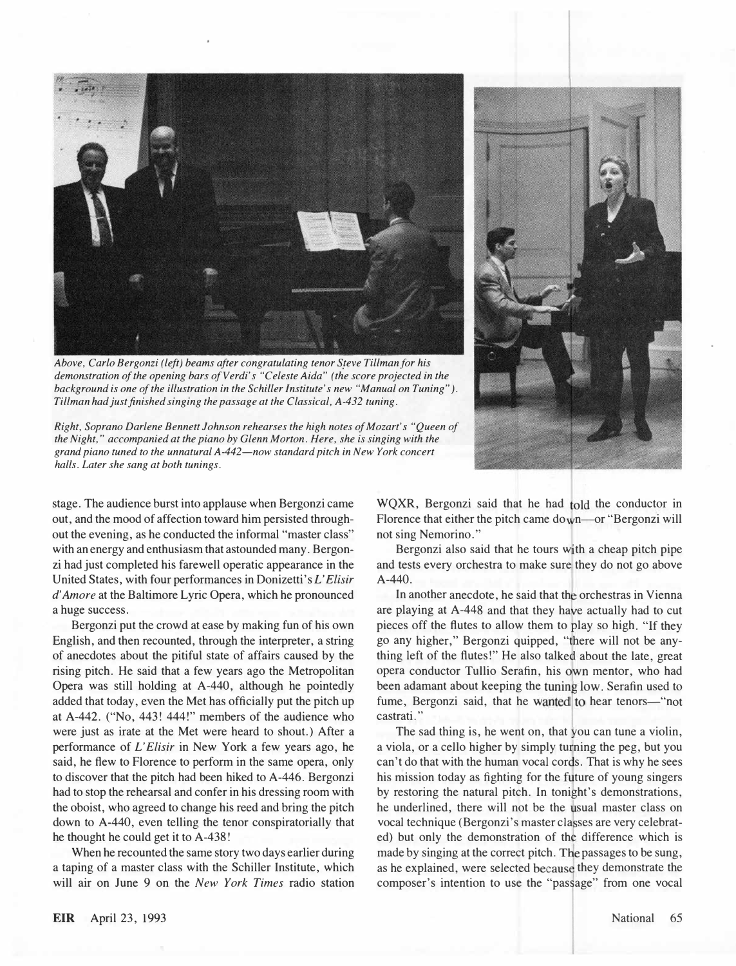

Above, Carlo Bergonzi (left) beams after congratulating tenor Steve Tillman for his demonstration of the opening bars of Verdi's "Celeste Aida" (the score projected in the background is one of the illustration in the Schiller Institute's new "Manual on Tuning" ). Tillman had just finished singing the passage at the Classical, A-432 tuning.

Right, Soprano Darlene Bennett Johnson rehearses the high notes of Mozart's "Queen of the Night," accompanied at the piano by Glenn Morton. Here, she is singing with the grand piano tuned to the unnatural A-442-now standard pitch in New York concert halls. Later she sang at both tunings.



stage. The audience burst into applause when Bergonzi came out, and the mood of affection toward him persisted throughout the evening, as he conducted the informal "master class" with an energy and enthusiasm that astounded many. Bergonzi had just completed his farewell operatic appearance in the United States, with four performances in Donizetti's L'Elisir d' Amore at the Baltimore Lyric Opera, which he pronounced a huge success.

Bergonzi put the crowd at ease by making fun of his own English, and then recounted, through the interpreter, a string of anecdotes about the pitiful state of affairs caused by the rising pitch. He said that a few years ago the Metropolitan Opera was still holding at A-440, although he pointedly added that today, even the Met has officially put the pitch up at A-442. ("No, 443! 444!" members of the audience who were just as irate at the Met were heard to shout.) After a performance of L'Elisir in New York a few years ago, he said, he flew to Florence to perform in the same opera, only to discover that the pitch had been hiked to A-446. Bergonzi had to stop the rehearsal and confer in his dressing room with the oboist, who agreed to change his reed and bring the pitch down to A-440, even telling the tenor conspiratorially that he thought he could get it to A-438!

When he recounted the same story two days earlier during a taping of a master class with the Schiller Institute, which will air on June 9 on the New York Times radio station

WQXR, Bergonzi said that he had 10ld the conductor in Florence that either the pitch came down—or "Bergonzi will not sing Nemorino."

Bergonzi also said that he tours with a cheap pitch pipe and tests every orchestra to make sure they do not go above A-440.

In another anecdote, he said that the orchestras in Vienna are playing at A-448 and that they have actually had to cut pieces off the flutes to allow them to play so high. "If they go any higher," Bergonzi quipped, "there will not be anything left of the flutes!" He also talked about the late, great opera conductor Tullio Serafin, his own mentor, who had been adamant about keeping the tuning low. Serafin used to fume, Bergonzi said, that he wanted to hear tenors-"not castrati. "

The sad thing is, he went on, that you can tune a violin, a viola, or a cello higher by simply turning the peg, but you can't do that with the human vocal cords. That is why he sees his mission today as fighting for the future of young singers by restoring the natural pitch. In tonight's demonstrations, he underlined, there will not be the usual master class on vocal technique (Bergonzi's master classes are very celebrated) but only the demonstration of the difference which is made by singing at the correct pitch. The passages to be sung, as he explained, were selected because they demonstrate the composer's intention to use the "passage" from one vocal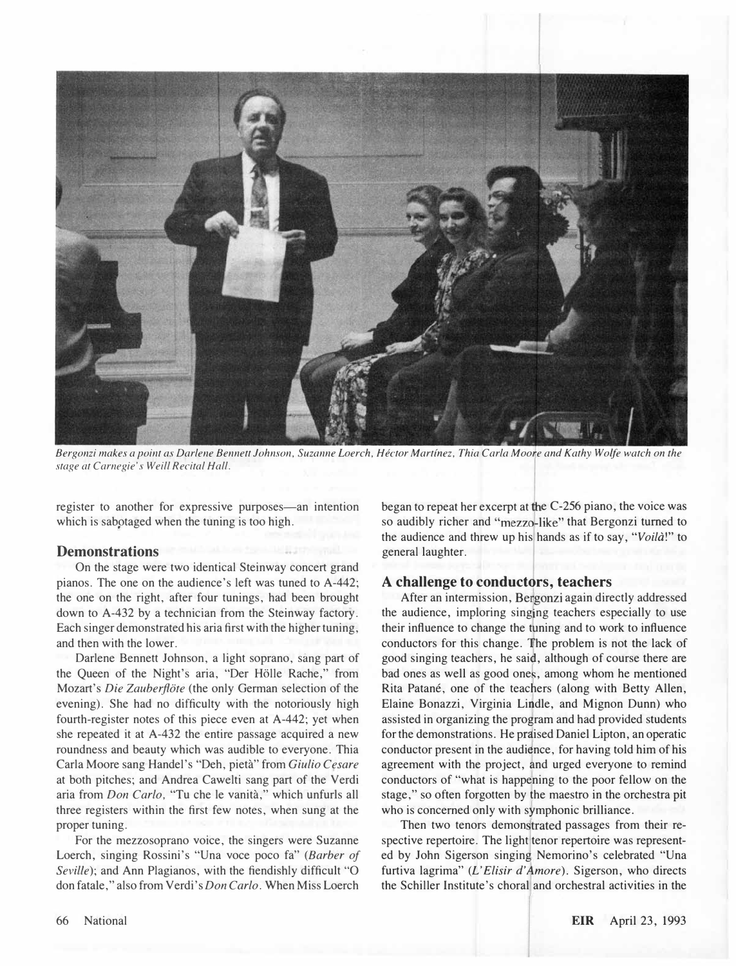

Bergonzi makes a point as Darlene Bennett Johnson, Suzanne Loerch, Hector Martinez, Thia Carla Moorre and Kathy Wolfe watch on the stage at Carnegie's Weill Recital Hall.

register to another for expressive purposes—an intention which is sabotaged when the tuning is too high.

#### Demonstrations

On the stage were two identical Steinway concert grand pianos. The one on the audience's left was tuned to A-442; the one on the right, after four tunings, had been brought down to A-432 by a technician from the Steinway factory. Each singer demonstrated his aria first with the higher tuning, and then with the lower.

Darlene Bennett Johnson, a light soprano, sang part of the Queen of the Night's aria, "Der Holle Rache," from Mozart's *Die Zauberflöte* (the only German selection of the evening). She had no difficulty with the notoriously high fourth-register notes of this piece even at A-442; yet when she repeated it at A-432 the entire passage acquired a new roundness and beauty which was audible to everyone. Thia Carla Moore sang Handel's "Deh, pieta" from Giulio Cesare at both pitches; and Andrea Cawelti sang part of the Verdi aria from Don Carlo, "Tu che Ie vanita," which unfurls all three registers within the first few notes, when sung at the proper tuning.

For the mezzosoprano voice, the singers were Suzanne Loerch, singing Rossini's "Una voce poco fa" (Barber of Seville); and Ann Plagianos, with the fiendishly difficult "O don fatale," also from Verdi's Don Carlo. When Miss Loerch began to repeat her excerpt at the C-256 piano, the voice was so audibly richer and "mezzo-like" that Bergonzi turned to the audience and threw up his hands as if to say, "Voila!" to general laughter.

#### A challenge to conductors, teachers

After an intermission, Bergonzi again directly addressed the audience, imploring singing teachers especially to use their influence to change the tuning and to work to influence conductors for this change. The problem is not the lack of good singing teachers, he said, although of course there are bad ones as well as good ones, among whom he mentioned Rita Patané, one of the teachers (along with Betty Allen, Elaine Bonazzi, Virginia Lindle, and Mignon Dunn) who assisted in organizing the program and had provided students for the demonstrations. He prdised Daniel Lipton, an operatic conductor present in the audience, for having told him of his agreement with the project, and urged everyone to remind conductors of "what is happening to the poor fellow on the stage," so often forgotten by the maestro in the orchestra pit who is concerned only with symphonic brilliance.

Then two tenors demonstrated passages from their respective repertoire. The light tenor repertoire was represented by John Sigerson singing Nemorino's celebrated "Una furtiva lagrima" (L'Elisir d'Amore). Sigerson, who directs the Schiller Institute's choral and orchestral activities in the